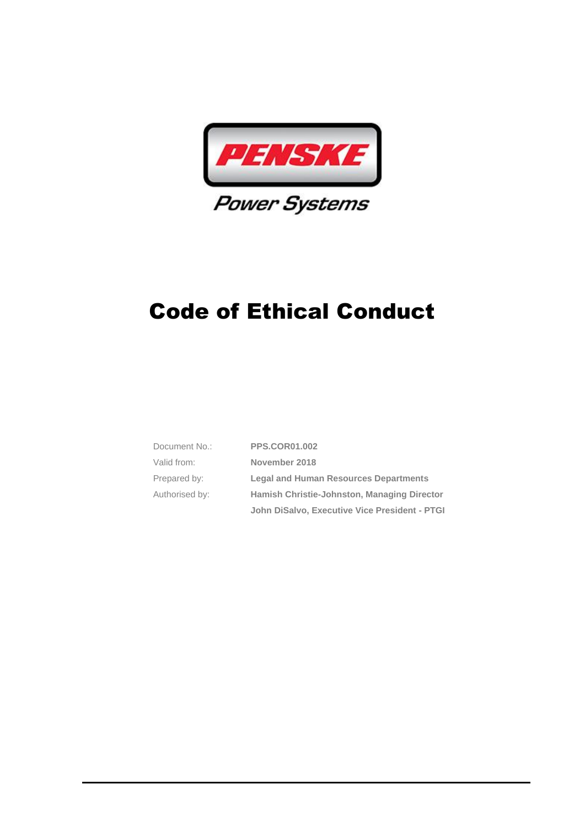

| Document No.:  | <b>PPS.COR01.002</b>                          |  |
|----------------|-----------------------------------------------|--|
| Valid from:    | November 2018                                 |  |
| Prepared by:   | <b>Legal and Human Resources Departments</b>  |  |
| Authorised by: | Hamish Christie-Johnston, Managing Director   |  |
|                | John DiSalvo, Executive Vice President - PTGI |  |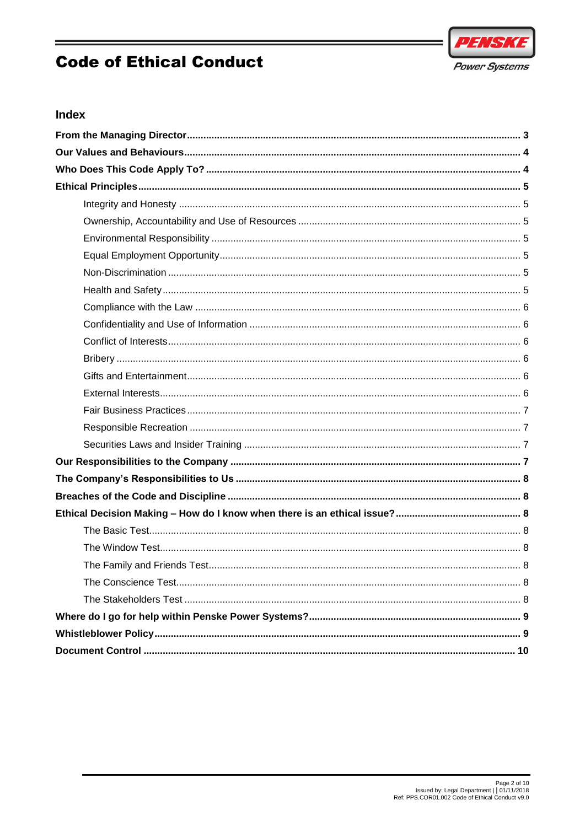



### Index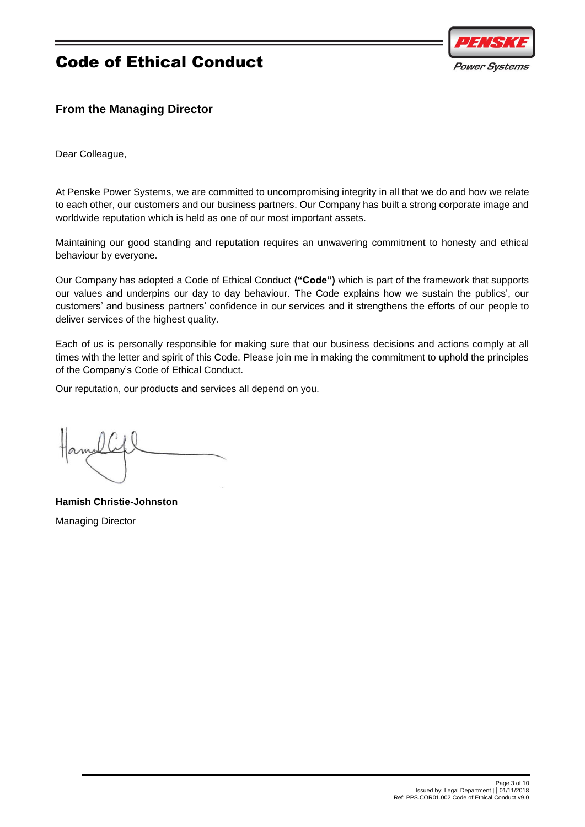

## <span id="page-2-0"></span>**From the Managing Director**

Dear Colleague,

At Penske Power Systems, we are committed to uncompromising integrity in all that we do and how we relate to each other, our customers and our business partners. Our Company has built a strong corporate image and worldwide reputation which is held as one of our most important assets.

Maintaining our good standing and reputation requires an unwavering commitment to honesty and ethical behaviour by everyone.

Our Company has adopted a Code of Ethical Conduct **("Code")** which is part of the framework that supports our values and underpins our day to day behaviour. The Code explains how we sustain the publics', our customers' and business partners' confidence in our services and it strengthens the efforts of our people to deliver services of the highest quality.

Each of us is personally responsible for making sure that our business decisions and actions comply at all times with the letter and spirit of this Code. Please join me in making the commitment to uphold the principles of the Company's Code of Ethical Conduct.

Our reputation, our products and services all depend on you.

**Hamish Christie-Johnston** Managing Director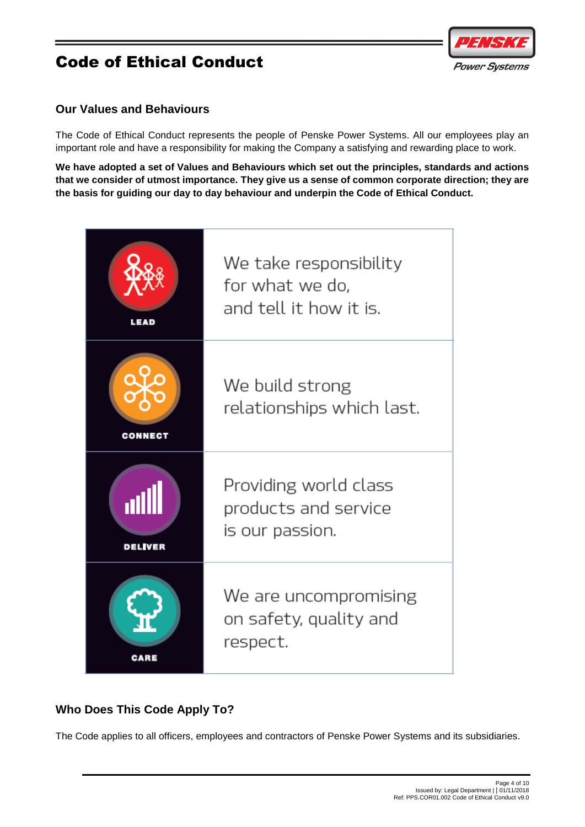

### <span id="page-3-0"></span>**Our Values and Behaviours**

The Code of Ethical Conduct represents the people of Penske Power Systems. All our employees play an important role and have a responsibility for making the Company a satisfying and rewarding place to work.

**We have adopted a set of Values and Behaviours which set out the principles, standards and actions that we consider of utmost importance. They give us a sense of common corporate direction; they are the basis for guiding our day to day behaviour and underpin the Code of Ethical Conduct.**

| LEAD                  | We take responsibility<br>for what we do.<br>and tell it how it is. |
|-----------------------|---------------------------------------------------------------------|
| CONNE                 | We build strong<br>relationships which last.                        |
| all<br><b>DELIVER</b> | Providing world class<br>products and service<br>is our passion.    |
|                       | We are uncompromising<br>on safety, quality and<br>respect.         |

## <span id="page-3-1"></span>**Who Does This Code Apply To?**

The Code applies to all officers, employees and contractors of Penske Power Systems and its subsidiaries.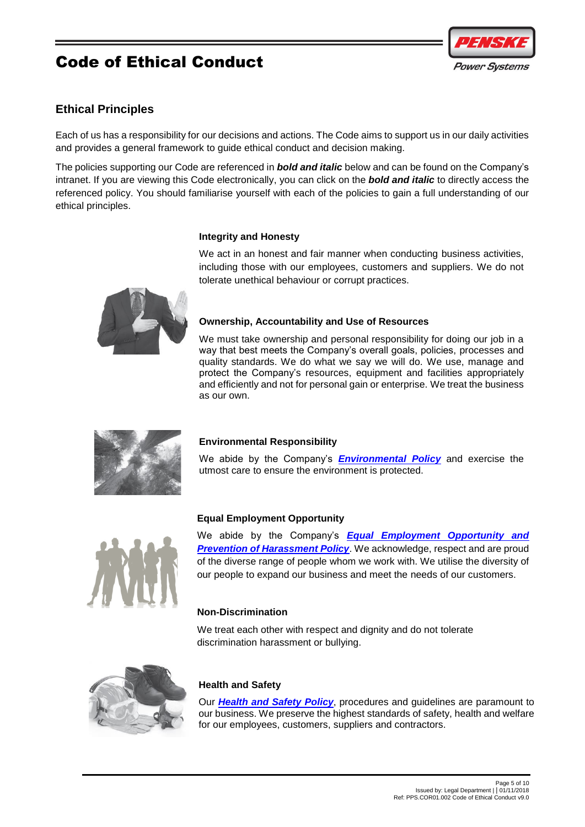## <span id="page-4-0"></span>**Ethical Principles**

Each of us has a responsibility for our decisions and actions. The Code aims to support us in our daily activities and provides a general framework to guide ethical conduct and decision making.

The policies supporting our Code are referenced in *bold and italic* below and can be found on the Company's intranet. If you are viewing this Code electronically, you can click on the *bold and italic* to directly access the referenced policy. You should familiarise yourself with each of the policies to gain a full understanding of our ethical principles.

## <span id="page-4-1"></span>**Integrity and Honesty**

We act in an honest and fair manner when conducting business activities, including those with our employees, customers and suppliers. We do not tolerate unethical behaviour or corrupt practices.

## <span id="page-4-2"></span>**Ownership, Accountability and Use of Resources**

We must take ownership and personal responsibility for doing our job in a way that best meets the Company's overall goals, policies, processes and quality standards. We do what we say we will do. We use, manage and protect the Company's resources, equipment and facilities appropriately and efficiently and not for personal gain or enterprise. We treat the business as our own.

## <span id="page-4-3"></span>**Environmental Responsibility**

We abide by the Company's *[Environmental Policy](http://thepodium.penske.com.au/resources/Business%20Documentation/ALL/G.HSE01.002%20Environmental%20Policy%20Statement.pdf)* and exercise the utmost care to ensure the environment is protected.

## <span id="page-4-4"></span>**Equal Employment Opportunity**

We abide by the Company's *[Equal Employment Opportunity](http://thepodium.penske.com.au/resources/_layouts/15/WopiFrame.aspx?sourcedoc=%7bC3190125-D719-45BF-80B8-1F0733CE6A70%7d&file=G.HR01.002%20Group%20EEO%20and%20Prevention%20of%20Harassment%20Policy.docx&action=default) and*  **[Prevention of Harassment Policy](http://thepodium.penske.com.au/resources/_layouts/15/WopiFrame.aspx?sourcedoc=%7bC3190125-D719-45BF-80B8-1F0733CE6A70%7d&file=G.HR01.002%20Group%20EEO%20and%20Prevention%20of%20Harassment%20Policy.docx&action=default)**. We acknowledge, respect and are proud of the diverse range of people whom we work with. We utilise the diversity of our people to expand our business and meet the needs of our customers.

## <span id="page-4-5"></span>**Non-Discrimination**

We treat each other with respect and dignity and do not tolerate discrimination harassment or bullying.

<span id="page-4-6"></span>

Our *[Health and Safety Policy](http://thepodium.penske.com.au/resources/Business%20Documentation/ALL/G.HSE01.001%20Health%20and%20Safety%20Policy%20Statement.pdf)*, procedures and guidelines are paramount to our business. We preserve the highest standards of safety, health and welfare for our employees, customers, suppliers and contractors.





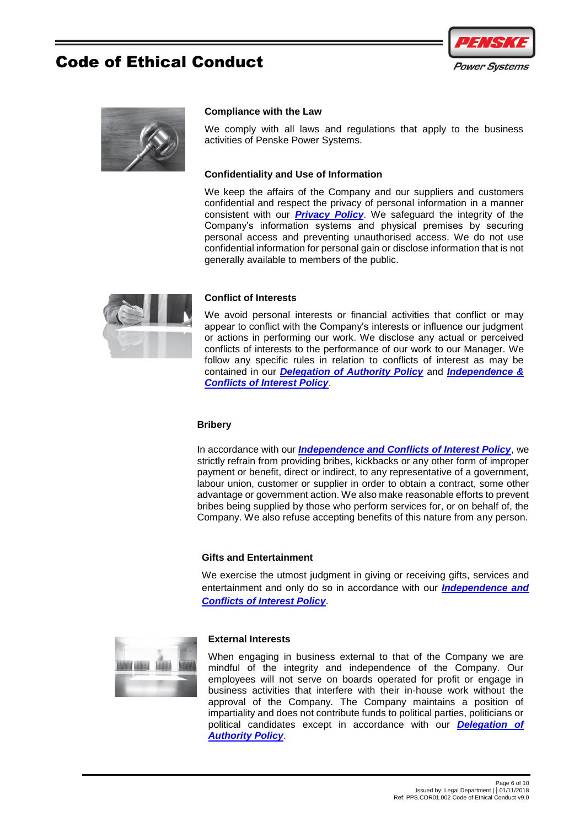



#### <span id="page-5-0"></span>**Compliance with the Law**

We comply with all laws and regulations that apply to the business activities of Penske Power Systems.

#### <span id="page-5-1"></span>**Confidentiality and Use of Information**

We keep the affairs of the Company and our suppliers and customers confidential and respect the privacy of personal information in a manner consistent with our *[Privacy Policy](http://thepodium.penske.com.au/resources/_layouts/15/WopiFrame.aspx?sourcedoc=%7bEF6A1D40-1E24-44B6-B20A-0D38E0E93812%7d&file=G.COR01.100%20Privacy%20Policy.docx&action=default)*. We safeguard the integrity of the Company's information systems and physical premises by securing personal access and preventing unauthorised access. We do not use confidential information for personal gain or disclose information that is not generally available to members of the public.

<span id="page-5-3"></span>

#### <span id="page-5-2"></span>**Conflict of Interests**

We avoid personal interests or financial activities that conflict or may appear to conflict with the Company's interests or influence our judgment or actions in performing our work. We disclose any actual or perceived conflicts of interests to the performance of our work to our Manager. We follow any specific rules in relation to conflicts of interest as may be contained in our *[Delegation of Authority Policy](http://thepodium.penske.com.au/resources/Business%20Documentation/ALL/G.COR01.008%20Delegation%20of%20Authority%20Policy.pdf)* and *[Independence &](http://thepodium.penske.com.au/resources/_layouts/15/WopiFrame.aspx?sourcedoc=%7bF0894F7F-D8BC-448F-8F14-2CE03FB15F17%7d&file=PPS.COR01.011%20Independence%20and%20Conflicts%20of%20Interest%20Policy.docx&action=default)  [Conflicts of Interest Policy](http://thepodium.penske.com.au/resources/_layouts/15/WopiFrame.aspx?sourcedoc=%7bF0894F7F-D8BC-448F-8F14-2CE03FB15F17%7d&file=PPS.COR01.011%20Independence%20and%20Conflicts%20of%20Interest%20Policy.docx&action=default)*.

#### **Bribery**

In accordance with our *[Independence and Conflicts of Interest Policy](http://thepodium.penske.com.au/resources/_layouts/15/WopiFrame.aspx?sourcedoc=%7bF0894F7F-D8BC-448F-8F14-2CE03FB15F17%7d&file=PPS.COR01.011%20Independence%20and%20Conflicts%20of%20Interest%20Policy.docx&action=default)*, we strictly refrain from providing bribes, kickbacks or any other form of improper payment or benefit, direct or indirect, to any representative of a government, labour union, customer or supplier in order to obtain a contract, some other advantage or government action. We also make reasonable efforts to prevent bribes being supplied by those who perform services for, or on behalf of, the Company. We also refuse accepting benefits of this nature from any person.

#### **Gifts and Entertainment**

We exercise the utmost judgment in giving or receiving gifts, services and entertainment and only do so in accordance with our *[Independence and](http://thepodium.penske.com.au/resources/_layouts/15/WopiFrame.aspx?sourcedoc=%7bF0894F7F-D8BC-448F-8F14-2CE03FB15F17%7d&file=PPS.COR01.011%20Independence%20and%20Conflicts%20of%20Interest%20Policy.docx&action=default)  Conflicts [of Interest Policy](http://thepodium.penske.com.au/resources/_layouts/15/WopiFrame.aspx?sourcedoc=%7bF0894F7F-D8BC-448F-8F14-2CE03FB15F17%7d&file=PPS.COR01.011%20Independence%20and%20Conflicts%20of%20Interest%20Policy.docx&action=default)*.

<span id="page-5-4"></span>

#### <span id="page-5-5"></span>**External Interests**

When engaging in business external to that of the Company we are mindful of the integrity and independence of the Company. Our employees will not serve on boards operated for profit or engage in business activities that interfere with their in-house work without the approval of the Company. The Company maintains a position of impartiality and does not contribute funds to political parties, politicians or political candidates except in accordance with our *[Delegation of](http://thepodium.penske.com.au/resources/Business%20Documentation/ALL/G.COR01.008%20Delegation%20of%20Authority%20Policy.pdf)  [Authority Policy](http://thepodium.penske.com.au/resources/Business%20Documentation/ALL/G.COR01.008%20Delegation%20of%20Authority%20Policy.pdf)*.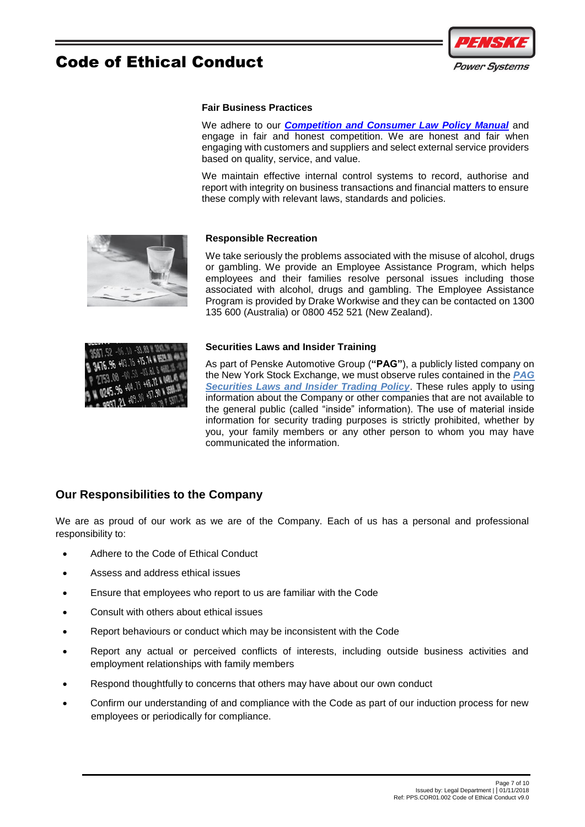

#### **Fair Business Practices**

We adhere to our *[Competition and Consumer Law Policy Manual](http://thepodium.penske.com.au/resources/_layouts/15/WopiFrame.aspx?sourcedoc=%7bDE952945-8D90-47DD-A7B0-C33BA61E9E8A%7d&file=G.COR01.020%20Competition%20and%20Consumer%20Law%20Policy%20and%20Manual%20-%20Australia.docx&action=default)* and engage in fair and honest competition. We are honest and fair when engaging with customers and suppliers and select external service providers based on quality, service, and value.

We maintain effective internal control systems to record, authorise and report with integrity on business transactions and financial matters to ensure these comply with relevant laws, standards and policies.

<span id="page-6-0"></span>

#### <span id="page-6-1"></span>**Responsible Recreation**

We take seriously the problems associated with the misuse of alcohol, drugs or gambling. We provide an Employee Assistance Program, which helps employees and their families resolve personal issues including those associated with alcohol, drugs and gambling. The Employee Assistance Program is provided by Drake Workwise and they can be contacted on 1300 135 600 (Australia) or 0800 452 521 (New Zealand).



#### <span id="page-6-2"></span>**Securities Laws and Insider Training**

As part of Penske Automotive Group (**"PAG"**), a publicly listed company on the New York Stock Exchange, we must observe rules contained in the *[PAG](http://thepodium.penske.com.au/resources/_layouts/15/WopiFrame.aspx?sourcedoc=%7bCBAE0005-7503-40F4-A052-CDF0F6A5DB92%7d&file=G.COR01.015%20PAG%20Securities%20Laws%20and%20Insider%20Trading%20Policy.docx&action=default)  [Securities Laws and Insider Trading Policy](http://thepodium.penske.com.au/resources/_layouts/15/WopiFrame.aspx?sourcedoc=%7bCBAE0005-7503-40F4-A052-CDF0F6A5DB92%7d&file=G.COR01.015%20PAG%20Securities%20Laws%20and%20Insider%20Trading%20Policy.docx&action=default)*. These rules apply to using information about the Company or other companies that are not available to the general public (called "inside" information). The use of material inside information for security trading purposes is strictly prohibited, whether by you, your family members or any other person to whom you may have communicated the information.

### <span id="page-6-3"></span>**Our Responsibilities to the Company**

We are as proud of our work as we are of the Company. Each of us has a personal and professional responsibility to:

- Adhere to the Code of Ethical Conduct
- Assess and address ethical issues
- Ensure that employees who report to us are familiar with the Code
- Consult with others about ethical issues
- Report behaviours or conduct which may be inconsistent with the Code
- Report any actual or perceived conflicts of interests, including outside business activities and employment relationships with family members
- Respond thoughtfully to concerns that others may have about our own conduct
- Confirm our understanding of and compliance with the Code as part of our induction process for new employees or periodically for compliance.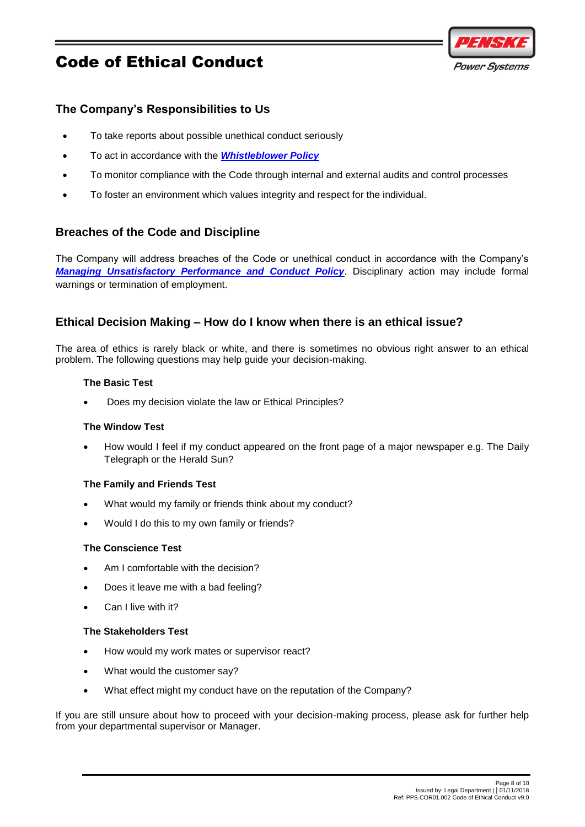

## <span id="page-7-0"></span>**The Company's Responsibilities to Us**

- To take reports about possible unethical conduct seriously
- To act in accordance with the *[Whistleblower Policy](http://thepodium.penske.com.au/resources/_layouts/15/WopiFrame.aspx?sourcedoc=%7b72BF6EA0-7489-419B-8190-D67B3C4EA1C0%7d&file=PPS.COR01.010%20Whistleblower%20Policy.docx&action=default)*
- To monitor compliance with the Code through internal and external audits and control processes
- To foster an environment which values integrity and respect for the individual.

### <span id="page-7-1"></span>**Breaches of the Code and Discipline**

The Company will address breaches of the Code or unethical conduct in accordance with the Company's *[Managing Unsatisfactory Performance and Conduct Policy](http://thepodium.penske.com.au/resources/_layouts/15/WopiFrame.aspx?sourcedoc=%7bE74C3DAE-F2BE-4671-BFCF-42AD1FC7E19D%7d&file=PCV.HR01.008%20Group%20Managing%20Unsatisfactory%20Performance%20Conduct%20Policy.docx&action=default)*. Disciplinary action may include formal warnings or termination of employment.

### <span id="page-7-2"></span>**Ethical Decision Making – How do I know when there is an ethical issue?**

<span id="page-7-3"></span>The area of ethics is rarely black or white, and there is sometimes no obvious right answer to an ethical problem. The following questions may help guide your decision-making.

#### **The Basic Test**

Does my decision violate the law or Ethical Principles?

#### <span id="page-7-4"></span>**The Window Test**

 How would I feel if my conduct appeared on the front page of a major newspaper e.g. The Daily Telegraph or the Herald Sun?

#### <span id="page-7-5"></span>**The Family and Friends Test**

- What would my family or friends think about my conduct?
- Would I do this to my own family or friends?

#### <span id="page-7-6"></span>**The Conscience Test**

- Am I comfortable with the decision?
- Does it leave me with a bad feeling?
- Can I live with it?

#### <span id="page-7-7"></span>**The Stakeholders Test**

- How would my work mates or supervisor react?
- What would the customer say?
- What effect might my conduct have on the reputation of the Company?

If you are still unsure about how to proceed with your decision-making process, please ask for further help from your departmental supervisor or Manager.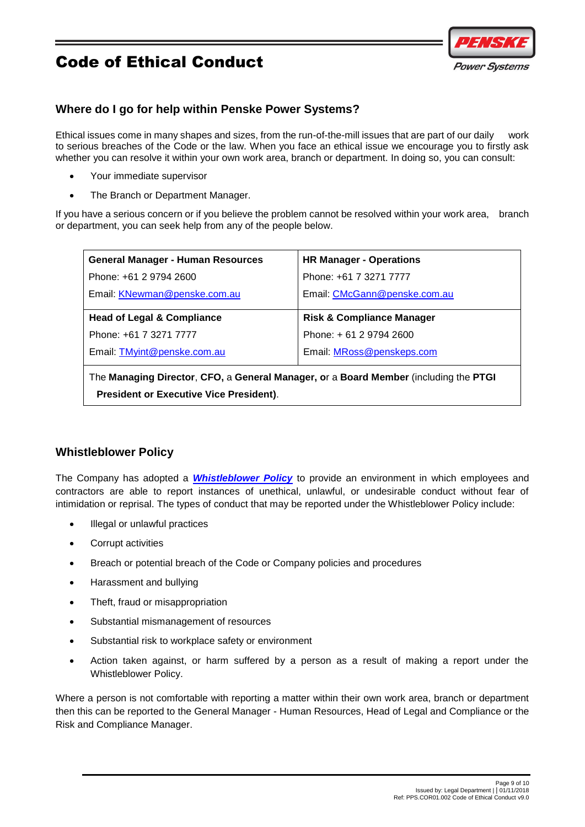

## <span id="page-8-0"></span>**Where do I go for help within Penske Power Systems?**

Ethical issues come in many shapes and sizes, from the run-of-the-mill issues that are part of our daily work to serious breaches of the Code or the law. When you face an ethical issue we encourage you to firstly ask whether you can resolve it within your own work area, branch or department. In doing so, you can consult:

- Your immediate supervisor
- The Branch or Department Manager.

If you have a serious concern or if you believe the problem cannot be resolved within your work area, branch or department, you can seek help from any of the people below.

| <b>General Manager - Human Resources</b> | <b>HR Manager - Operations</b>       |  |
|------------------------------------------|--------------------------------------|--|
| Phone: +61 2 9794 2600                   | Phone: +61 7 3271 7777               |  |
| Email: KNewman@penske.com.au             | Email: CMcGann@penske.com.au         |  |
| <b>Head of Legal &amp; Compliance</b>    | <b>Risk &amp; Compliance Manager</b> |  |
| Phone: +61 7 3271 7777                   | Phone: +61 2 9794 2600               |  |
|                                          |                                      |  |
| Email: TMyint@penske.com.au              | Email: MRoss@penskeps.com            |  |
|                                          |                                      |  |

The **Managing Director**, **CFO,** a **General Manager, o**r a **Board Member** (including the **PTGI President or Executive Vice President)**.

## <span id="page-8-1"></span>**Whistleblower Policy**

The Company has adopted a *[Whistleblower Policy](http://thepodium.penske.com.au/resources/_layouts/15/WopiFrame.aspx?sourcedoc=%7b72BF6EA0-7489-419B-8190-D67B3C4EA1C0%7d&file=PPS.COR01.010%20Whistleblower%20Policy.docx&action=default)* to provide an environment in which employees and contractors are able to report instances of unethical, unlawful, or undesirable conduct without fear of intimidation or reprisal. The types of conduct that may be reported under the Whistleblower Policy include:

- Illegal or unlawful practices
- Corrupt activities
- Breach or potential breach of the Code or Company policies and procedures
- Harassment and bullying
- Theft, fraud or misappropriation
- Substantial mismanagement of resources
- Substantial risk to workplace safety or environment
- Action taken against, or harm suffered by a person as a result of making a report under the Whistleblower Policy.

Where a person is not comfortable with reporting a matter within their own work area, branch or department then this can be reported to the General Manager - Human Resources, Head of Legal and Compliance or the Risk and Compliance Manager.